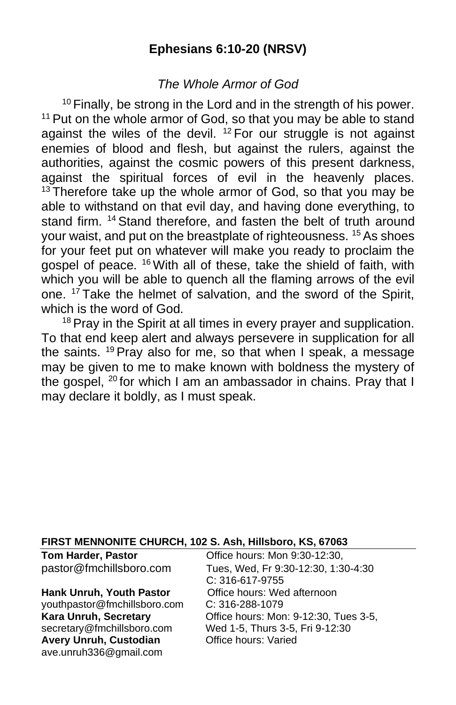## **Ephesians 6:10-20 (NRSV)**

## *The Whole Armor of God*

 $10$  Finally, be strong in the Lord and in the strength of his power.  $11$  Put on the whole armor of God, so that you may be able to stand against the wiles of the devil.  $12$  For our struggle is not against enemies of blood and flesh, but against the rulers, against the authorities, against the cosmic powers of this present darkness, against the spiritual forces of evil in the heavenly places.  $13$  Therefore take up the whole armor of God, so that you may be able to withstand on that evil day, and having done everything, to stand firm. <sup>14</sup> Stand therefore, and fasten the belt of truth around your waist, and put on the breastplate of righteousness. <sup>15</sup> As shoes for your feet put on whatever will make you ready to proclaim the gospel of peace. <sup>16</sup> With all of these, take the shield of faith, with which you will be able to quench all the flaming arrows of the evil one. <sup>17</sup> Take the helmet of salvation, and the sword of the Spirit, which is the word of God.

<sup>18</sup> Prav in the Spirit at all times in every prayer and supplication. To that end keep alert and always persevere in supplication for all the saints. <sup>19</sup> Pray also for me, so that when I speak, a message may be given to me to make known with boldness the mystery of the gospel, <sup>20</sup> for which I am an ambassador in chains. Pray that I may declare it boldly, as I must speak.

#### **FIRST MENNONITE CHURCH, 102 S. Ash, Hillsboro, KS, 67063**

#### Hank Unruh, Youth Pastor **Office hours: Wed afternoon**

[youthpastor@fmchillsboro.com](mailto:youthpastor@fmchillsboro.com) C: 316-288-1079 **Avery Unruh, Custodian Office hours: Varied** ave.unruh336@gmail.com

**Tom Harder, Pastor Office hours: Mon 9:30-12:30,** pastor@fmchillsboro.com Tues, Wed, Fr 9:30-12:30, 1:30-4:30 C: 316-617-9755 **Kara Unruh, Secretary Charace Exercise** Office hours: Mon: 9-12:30, Tues 3-5, secretary@fmchillsboro.com Wed 1-5, Thurs 3-5, Fri 9-12:30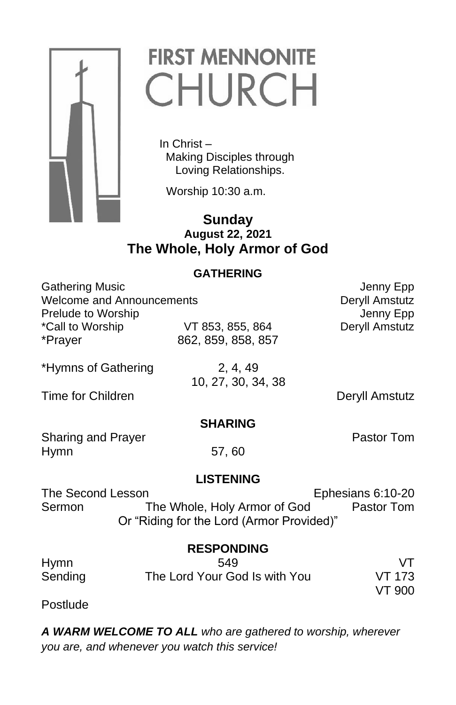

# **FIRST MENNONITE** CHURCH

 In Christ – Making Disciples through Loving Relationships.

Worship 10:30 a.m.

### **Sunday August 22, 2021 The Whole, Holy Armor of God**

#### **GATHERING**

|                           | Jenny Epp      |
|---------------------------|----------------|
| Welcome and Announcements |                |
|                           | Jenny Epp      |
| VT 853, 855, 864          | Deryll Amstutz |
| 862, 859, 858, 857        |                |
|                           |                |
|                           |                |

\*Hymns of Gathering 2, 4, 49

Time for Children **Deryll** Amstutz

10, 27, 30, 34, 38

### **SHARING**

Sharing and Prayer **Pastor Tom** Hymn 57, 60

#### **LISTENING**

The Second Lesson Ephesians 6:10-20 Sermon The Whole, Holy Armor of God Pastor Tom Or "Riding for the Lord (Armor Provided)"

#### **RESPONDING**

| Hymn    | 549                           |        |
|---------|-------------------------------|--------|
| Sending | The Lord Your God Is with You | VT 173 |
|         |                               | VT 900 |

Postlude

*A WARM WELCOME TO ALL who are gathered to worship, wherever you are, and whenever you watch this service!*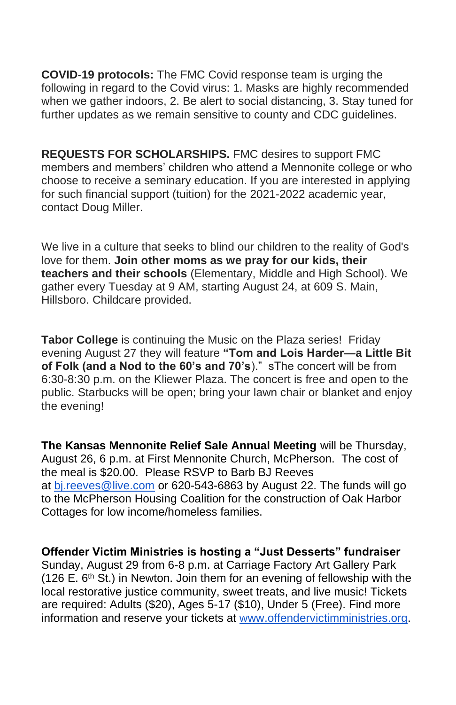**COVID-19 protocols:** The FMC Covid response team is urging the following in regard to the Covid virus: 1. Masks are highly recommended when we gather indoors, 2. Be alert to social distancing, 3. Stay tuned for further updates as we remain sensitive to county and CDC guidelines.

**REQUESTS FOR SCHOLARSHIPS.** FMC desires to support FMC members and members' children who attend a Mennonite college or who choose to receive a seminary education. If you are interested in applying for such financial support (tuition) for the 2021-2022 academic year, contact Doug Miller.

We live in a culture that seeks to blind our children to the reality of God's love for them. **Join other moms as we pray for our kids, their teachers and their schools** (Elementary, Middle and High School). We gather every Tuesday at 9 AM, starting August 24, at 609 S. Main, Hillsboro. Childcare provided.

**Tabor College** is continuing the Music on the Plaza series! Friday evening August 27 they will feature **"Tom and Lois Harder—a Little Bit of Folk (and a Nod to the 60's and 70's**)." sThe concert will be from 6:30-8:30 p.m. on the Kliewer Plaza. The concert is free and open to the public. Starbucks will be open; bring your lawn chair or blanket and enjoy the evening!

**The Kansas Mennonite Relief Sale Annual Meeting** will be Thursday, August 26, 6 p.m. at First Mennonite Church, McPherson. The cost of the meal is \$20.00. Please RSVP to Barb BJ Reeves at [bj.reeves@live.com](mailto:bj.reeves@live.com) or 620-543-6863 by August 22. The funds will go to the McPherson Housing Coalition for the construction of Oak Harbor Cottages for low income/homeless families.

**Offender Victim Ministries is hosting a "Just Desserts" fundraiser** Sunday, August 29 from 6-8 p.m. at Carriage Factory Art Gallery Park (126 E.  $6<sup>th</sup>$  St.) in Newton. Join them for an evening of fellowship with the local restorative justice community, sweet treats, and live music! Tickets are required: Adults (\$20), Ages 5-17 (\$10), Under 5 (Free). Find more information and reserve your tickets at [www.offendervictimministries.org.](http://www.offendervictimministries.org/)